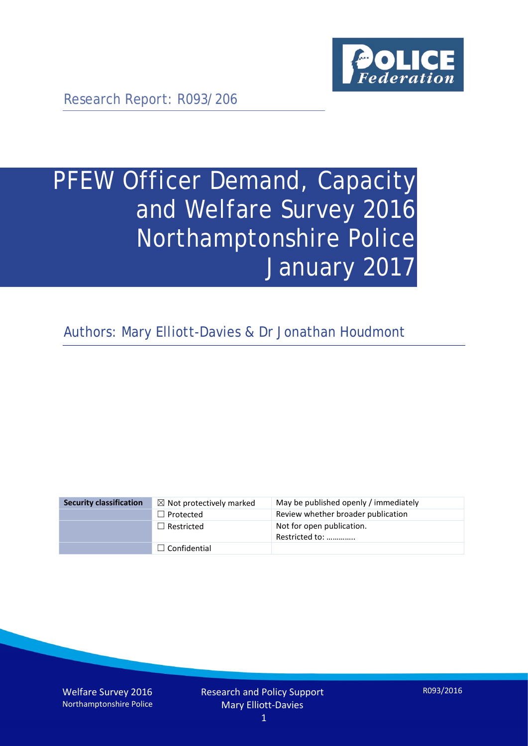

Research Report: R093/206

# PFEW Officer Demand, Capacity and Welfare Survey 2016 Northamptonshire Police January 2017

Authors: Mary Elliott-Davies & Dr Jonathan Houdmont

| <b>Security classification</b> | $\boxtimes$ Not protectively marked | May be published openly / immediately       |
|--------------------------------|-------------------------------------|---------------------------------------------|
|                                | $\Box$ Protected                    | Review whether broader publication          |
|                                | $\Box$ Restricted                   | Not for open publication.<br>Restricted to: |
|                                | $\Box$ Confidential                 |                                             |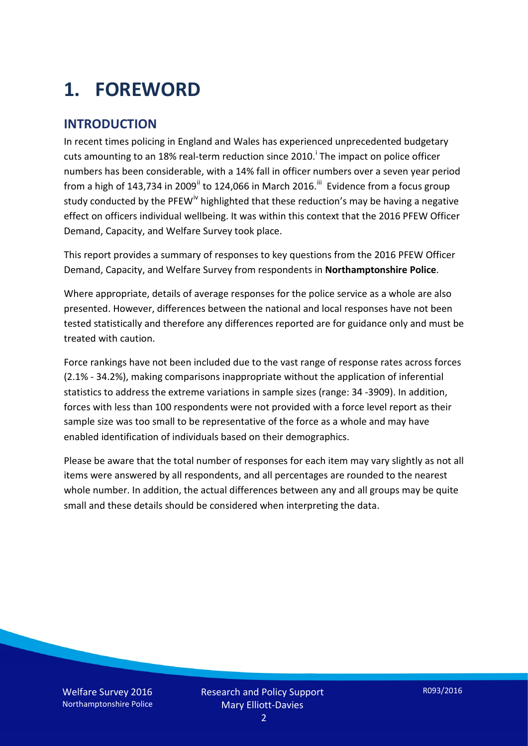# **1. FOREWORD**

#### **INTRODUCTION**

In recent times policing in England and Wales has experienced unprecedented budgetary cuts amount[i](#page-15-0)ng to an 18% real-term reduction since 2010.<sup>1</sup> The impact on police officer numbers has been considerable, with a 14% fall in officer numbers over a seven year period from a high of 143,734 in 2009<sup>[ii](#page-15-1)</sup> to 124,066 in March 2016.<sup>[iii](#page-15-2)</sup> Evidence from a focus group study conducted by the PFEW<sup>[iv](#page-15-3)</sup> highlighted that these reduction's may be having a negative effect on officers individual wellbeing. It was within this context that the 2016 PFEW Officer Demand, Capacity, and Welfare Survey took place.

This report provides a summary of responses to key questions from the 2016 PFEW Officer Demand, Capacity, and Welfare Survey from respondents in **Northamptonshire Police**.

Where appropriate, details of average responses for the police service as a whole are also presented. However, differences between the national and local responses have not been tested statistically and therefore any differences reported are for guidance only and must be treated with caution.

Force rankings have not been included due to the vast range of response rates across forces (2.1% - 34.2%), making comparisons inappropriate without the application of inferential statistics to address the extreme variations in sample sizes (range: 34 -3909). In addition, forces with less than 100 respondents were not provided with a force level report as their sample size was too small to be representative of the force as a whole and may have enabled identification of individuals based on their demographics.

Please be aware that the total number of responses for each item may vary slightly as not all items were answered by all respondents, and all percentages are rounded to the nearest whole number. In addition, the actual differences between any and all groups may be quite small and these details should be considered when interpreting the data.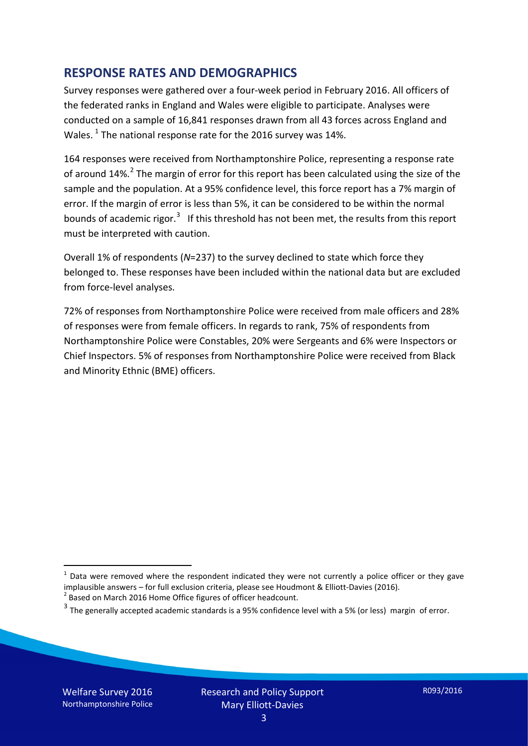#### **RESPONSE RATES AND DEMOGRAPHICS**

Survey responses were gathered over a four-week period in February 2016. All officers of the federated ranks in England and Wales were eligible to participate. Analyses were conducted on a sample of 16,841 responses drawn from all 43 forces across England and Wales.  $^1$  $^1$  The national response rate for the 2016 survey was 14%.

164 responses were received from Northamptonshire Police, representing a response rate of around 14%.<sup>[2](#page-2-1)</sup> The margin of error for this report has been calculated using the size of the sample and the population. At a 95% confidence level, this force report has a 7% margin of error. If the margin of error is less than 5%, it can be considered to be within the normal bounds of academic rigor.<sup>[3](#page-2-2)</sup> If this threshold has not been met, the results from this report must be interpreted with caution.

Overall 1% of respondents (*N*=237) to the survey declined to state which force they belonged to. These responses have been included within the national data but are excluded from force-level analyses.

72% of responses from Northamptonshire Police were received from male officers and 28% of responses were from female officers. In regards to rank, 75% of respondents from Northamptonshire Police were Constables, 20% were Sergeants and 6% were Inspectors or Chief Inspectors. 5% of responses from Northamptonshire Police were received from Black and Minority Ethnic (BME) officers.

<u>.</u>

<span id="page-2-0"></span> $1$  Data were removed where the respondent indicated they were not currently a police officer or they gave implausible answers – for full exclusion criteria, please see Houdmont & Elliott-Davies (2016).<br><sup>2</sup> Based on March 2016 Home Office figures of officer headcount.

<span id="page-2-1"></span>

<span id="page-2-2"></span> $3$  The generally accepted academic standards is a 95% confidence level with a 5% (or less) margin of error.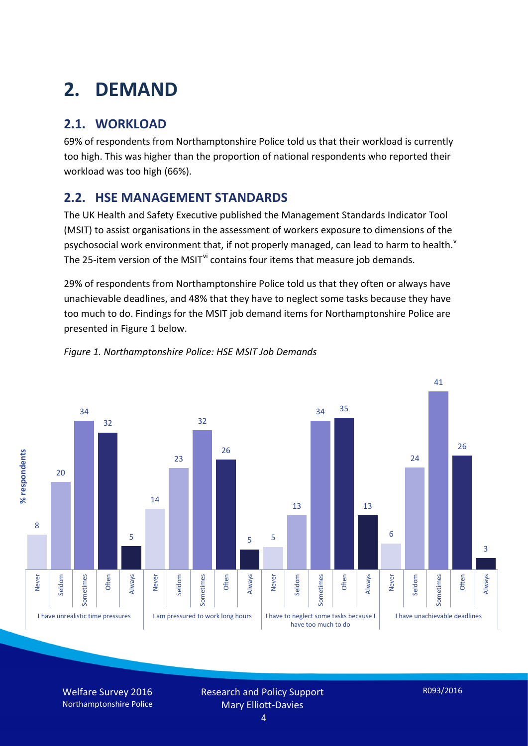# **2. DEMAND**

## **2.1. WORKLOAD**

69% of respondents from Northamptonshire Police told us that their workload is currently too high. This was higher than the proportion of national respondents who reported their workload was too high (66%).

#### **2.2. HSE MANAGEMENT STANDARDS**

The UK Health and Safety Executive published the Management Standards Indicator Tool (MSIT) to assist organisations in the assessment of workers exposure to dimensions of the psychosocial work en[v](#page-15-4)ironment that, if not properly managed, can lead to harm to health.<sup>v</sup> The 25-item version of the MSIT<sup>[vi](#page-15-5)</sup> contains four items that measure job demands.

29% of respondents from Northamptonshire Police told us that they often or always have unachievable deadlines, and 48% that they have to neglect some tasks because they have too much to do. Findings for the MSIT job demand items for Northamptonshire Police are presented in Figure 1 below.



#### *Figure 1. Northamptonshire Police: HSE MSIT Job Demands*

Welfare Survey 2016 Northamptonshire Police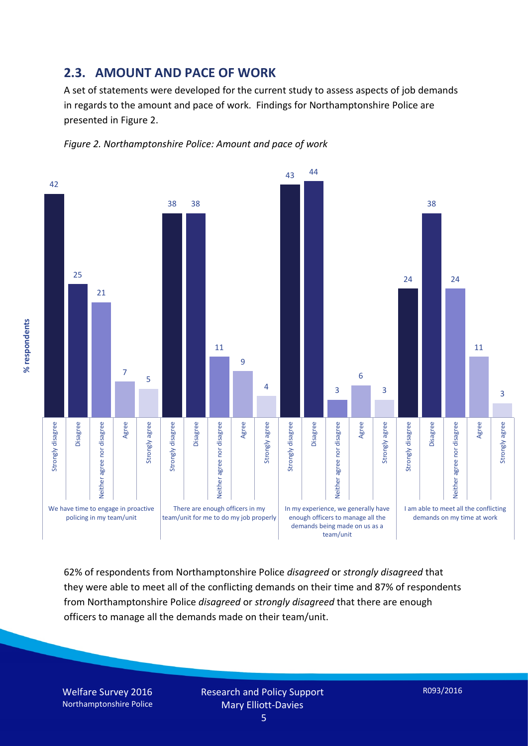#### **2.3. AMOUNT AND PACE OF WORK**

A set of statements were developed for the current study to assess aspects of job demands in regards to the amount and pace of work. Findings for Northamptonshire Police are presented in Figure 2.





62% of respondents from Northamptonshire Police *disagreed* or *strongly disagreed* that they were able to meet all of the conflicting demands on their time and 87% of respondents from Northamptonshire Police *disagreed* or *strongly disagreed* that there are enough officers to manage all the demands made on their team/unit.

Welfare Survey 2016 Northamptonshire Police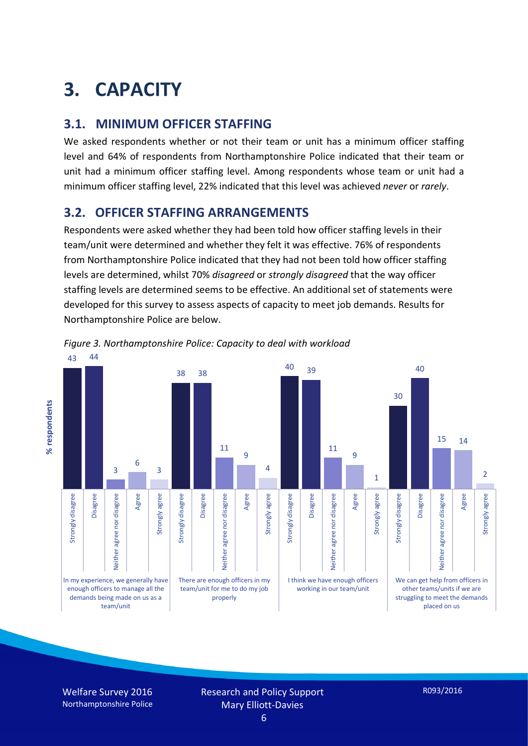# **3. CAPACITY**

#### **3.1. MINIMUM OFFICER STAFFING**

We asked respondents whether or not their team or unit has a minimum officer staffing level and 64% of respondents from Northamptonshire Police indicated that their team or unit had a minimum officer staffing level. Among respondents whose team or unit had a minimum officer staffing level, 22% indicated that this level was achieved *never* or *rarely*.

#### **3.2. OFFICER STAFFING ARRANGEMENTS**

Respondents were asked whether they had been told how officer staffing levels in their team/unit were determined and whether they felt it was effective. 76% of respondents from Northamptonshire Police indicated that they had not been told how officer staffing levels are determined, whilst 70% *disagreed* or *strongly disagreed* that the way officer staffing levels are determined seems to be effective. An additional set of statements were developed for this survey to assess aspects of capacity to meet job demands. Results for Northamptonshire Police are below.



*Figure 3. Northamptonshire Police: Capacity to deal with workload*

Welfare Survey 2016 Northamptonshire Police

% respondents **% respondents**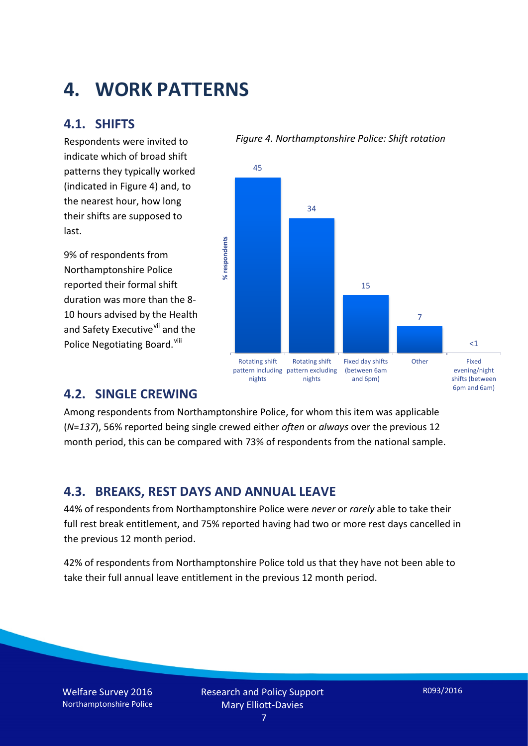## **4. WORK PATTERNS**

#### **4.1. SHIFTS**

Respondents were invited to indicate which of broad shift patterns they typically worked (indicated in Figure 4) and, to the nearest hour, how long their shifts are supposed to last.

9% of respondents from Northamptonshire Police reported their formal shift duration was more than the 8- 10 hours advised by the Health and Safety Executive<sup>[vii](#page-15-6)</sup> and the Police Negotiating Board.<sup>[viii](#page-15-7)</sup>





#### **4.2. SINGLE CREWING**

Among respondents from Northamptonshire Police, for whom this item was applicable (*N*=*137*), 56% reported being single crewed either *often* or *always* over the previous 12 month period, this can be compared with 73% of respondents from the national sample.

#### **4.3. BREAKS, REST DAYS AND ANNUAL LEAVE**

44% of respondents from Northamptonshire Police were *never* or *rarely* able to take their full rest break entitlement, and 75% reported having had two or more rest days cancelled in the previous 12 month period.

42% of respondents from Northamptonshire Police told us that they have not been able to take their full annual leave entitlement in the previous 12 month period.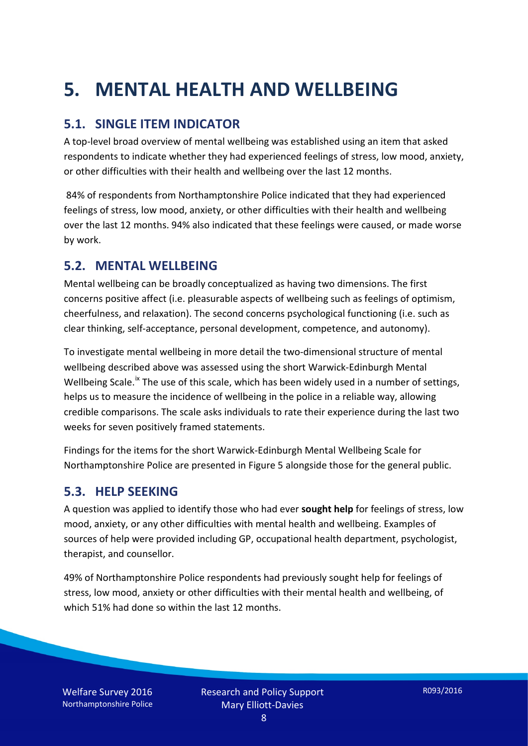# **5. MENTAL HEALTH AND WELLBEING**

#### **5.1. SINGLE ITEM INDICATOR**

A top-level broad overview of mental wellbeing was established using an item that asked respondents to indicate whether they had experienced feelings of stress, low mood, anxiety, or other difficulties with their health and wellbeing over the last 12 months.

84% of respondents from Northamptonshire Police indicated that they had experienced feelings of stress, low mood, anxiety, or other difficulties with their health and wellbeing over the last 12 months. 94% also indicated that these feelings were caused, or made worse by work.

#### **5.2. MENTAL WELLBEING**

Mental wellbeing can be broadly conceptualized as having two dimensions. The first concerns positive affect (i.e. pleasurable aspects of wellbeing such as feelings of optimism, cheerfulness, and relaxation). The second concerns psychological functioning (i.e. such as clear thinking, self-acceptance, personal development, competence, and autonomy).

To investigate mental wellbeing in more detail the two-dimensional structure of mental wellbeing described above was assessed using the short Warwick-Edinburgh Mental Wellbeing Scale.<sup>[ix](#page-15-8)</sup> The use of this scale, which has been widely used in a number of settings, helps us to measure the incidence of wellbeing in the police in a reliable way, allowing credible comparisons. The scale asks individuals to rate their experience during the last two weeks for seven positively framed statements.

Findings for the items for the short Warwick-Edinburgh Mental Wellbeing Scale for Northamptonshire Police are presented in Figure 5 alongside those for the general public.

#### **5.3. HELP SEEKING**

A question was applied to identify those who had ever **sought help** for feelings of stress, low mood, anxiety, or any other difficulties with mental health and wellbeing. Examples of sources of help were provided including GP, occupational health department, psychologist, therapist, and counsellor.

49% of Northamptonshire Police respondents had previously sought help for feelings of stress, low mood, anxiety or other difficulties with their mental health and wellbeing, of which 51% had done so within the last 12 months.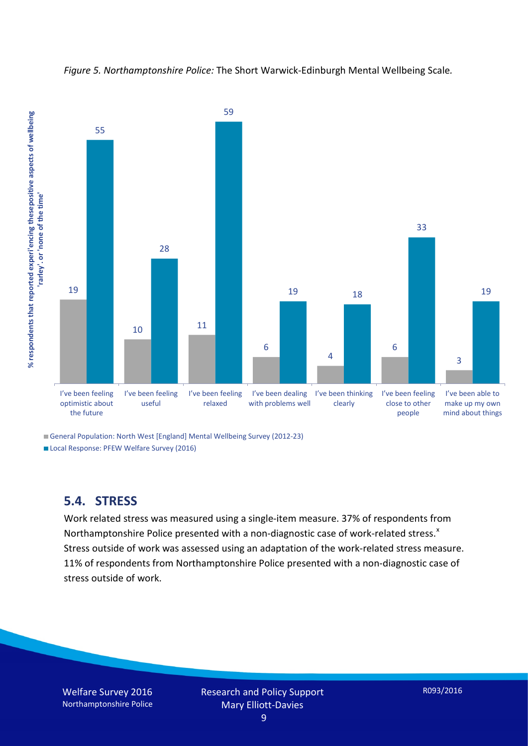



General Population: North West [England] Mental Wellbeing Survey (2012-23)

Local Response: PFEW Welfare Survey (2016)

#### **5.4. STRESS**

Work related stress was measured using a single-item measure. 37% of respondents from Northamptonshire Police presented with a non-diagnostic case of work-related stress. $x$ Stress outside of work was assessed using an adaptation of the work-related stress measure. 11% of respondents from Northamptonshire Police presented with a non-diagnostic case of stress outside of work.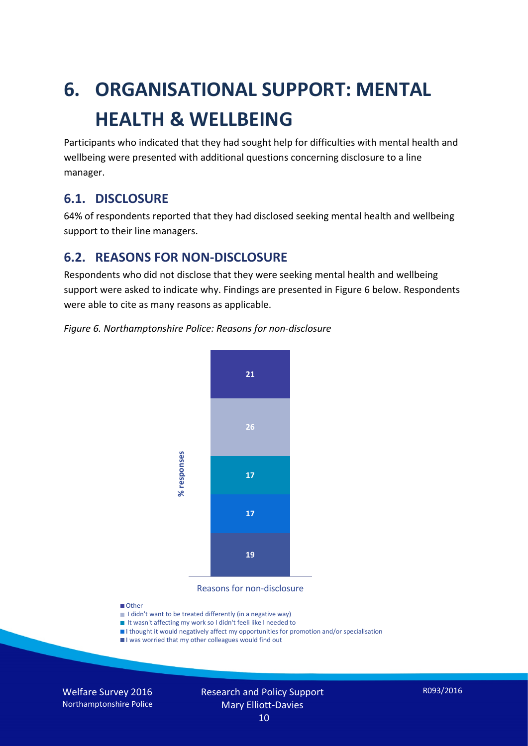# **6. ORGANISATIONAL SUPPORT: MENTAL HEALTH & WELLBEING**

Participants who indicated that they had sought help for difficulties with mental health and wellbeing were presented with additional questions concerning disclosure to a line manager.

#### **6.1. DISCLOSURE**

64% of respondents reported that they had disclosed seeking mental health and wellbeing support to their line managers.

#### **6.2. REASONS FOR NON-DISCLOSURE**

Respondents who did not disclose that they were seeking mental health and wellbeing support were asked to indicate why. Findings are presented in Figure 6 below. Respondents were able to cite as many reasons as applicable.





Reasons for non-disclosure

#### **D**Other

- I didn't want to be treated differently (in a negative way)
- I It wasn't affecting my work so I didn't feeli like I needed to
- I thought it would negatively affect my opportunities for promotion and/or specialisation
- I was worried that my other colleagues would find out

Welfare Survey 2016 Northamptonshire Police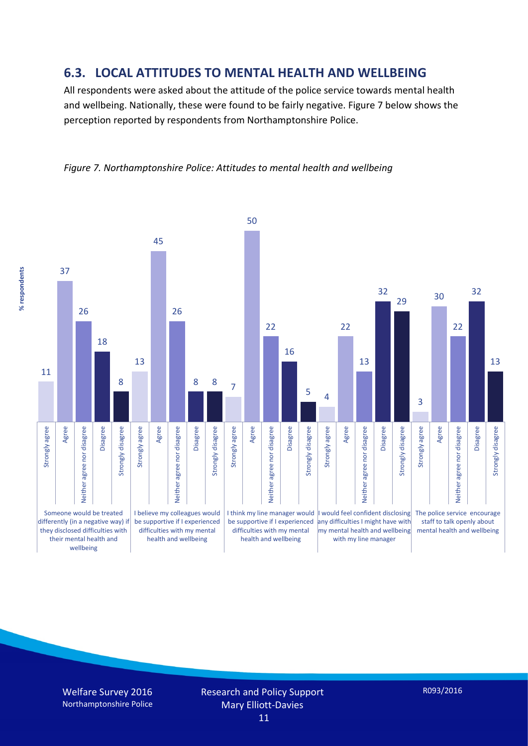#### **6.3. LOCAL ATTITUDES TO MENTAL HEALTH AND WELLBEING**

All respondents were asked about the attitude of the police service towards mental health and wellbeing. Nationally, these were found to be fairly negative. Figure 7 below shows the perception reported by respondents from Northamptonshire Police.





% respondents **% respondents**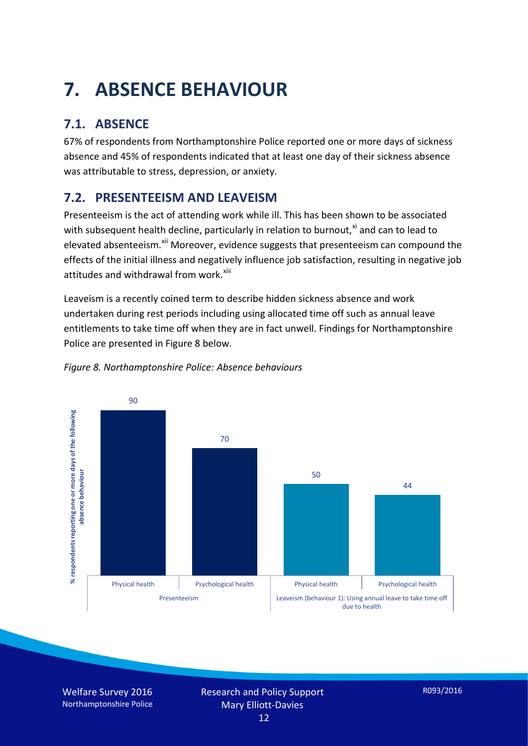# **7. ABSENCE BEHAVIOUR**

## **7.1. ABSENCE**

67% of respondents from Northamptonshire Police reported one or more days of sickness absence and 45% of respondents indicated that at least one day of their sickness absence was attributable to stress, depression, or anxiety.

### **7.2. PRESENTEEISM AND LEAVEISM**

Presenteeism is the act of attending work while ill. This has been shown to be associated with subsequent health decline, particularly in relation to burnout, $x_i$  and can to lead to elevated absenteeism.<sup>[xii](#page-16-1)</sup> Moreover, evidence suggests that presenteeism can compound the effects of the initial illness and negatively influence job satisfaction, resulting in negative job attitudes and withdrawal from work.<sup>[xiii](#page-16-2)</sup>

Leaveism is a recently coined term to describe hidden sickness absence and work undertaken during rest periods including using allocated time off such as annual leave entitlements to take time off when they are in fact unwell. Findings for Northamptonshire Police are presented in Figure 8 below.



#### *Figure 8. Northamptonshire Police: Absence behaviours*

Welfare Survey 2016 Northamptonshire Police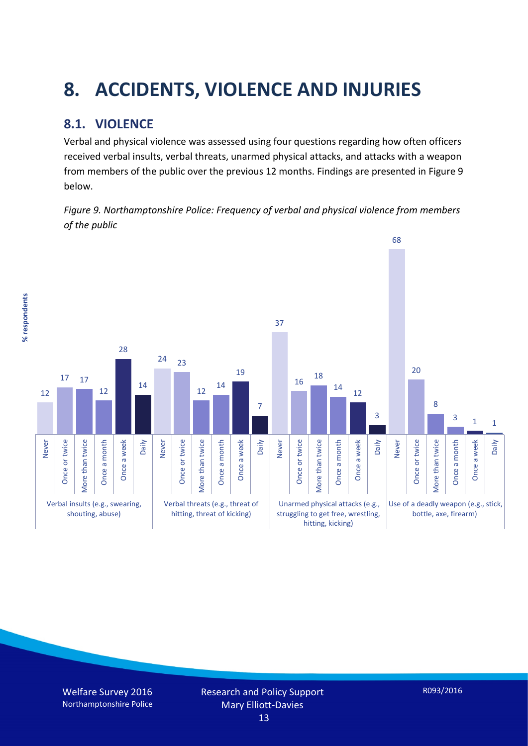# **8. ACCIDENTS, VIOLENCE AND INJURIES**

### **8.1. VIOLENCE**

Verbal and physical violence was assessed using four questions regarding how often officers received verbal insults, verbal threats, unarmed physical attacks, and attacks with a weapon from members of the public over the previous 12 months. Findings are presented in Figure 9 below.

*Figure 9. Northamptonshire Police: Frequency of verbal and physical violence from members of the public*

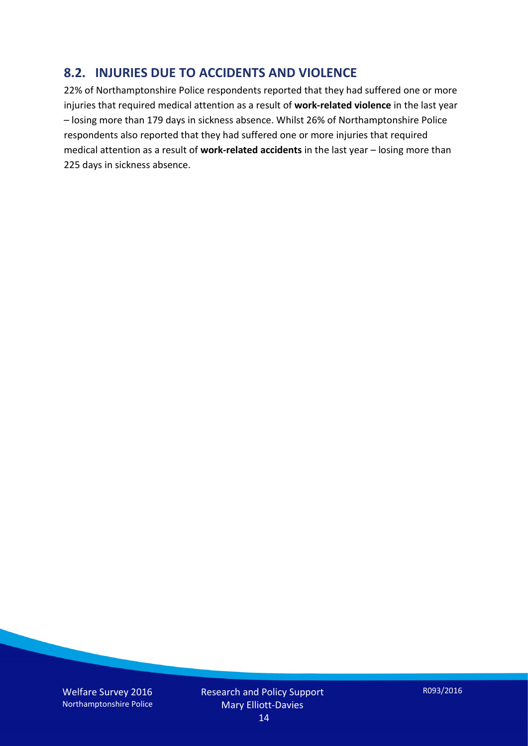#### **8.2. INJURIES DUE TO ACCIDENTS AND VIOLENCE**

22% of Northamptonshire Police respondents reported that they had suffered one or more injuries that required medical attention as a result of **work-related violence** in the last year – losing more than 179 days in sickness absence. Whilst 26% of Northamptonshire Police respondents also reported that they had suffered one or more injuries that required medical attention as a result of **work-related accidents** in the last year – losing more than 225 days in sickness absence.

Welfare Survey 2016 Northamptonshire Police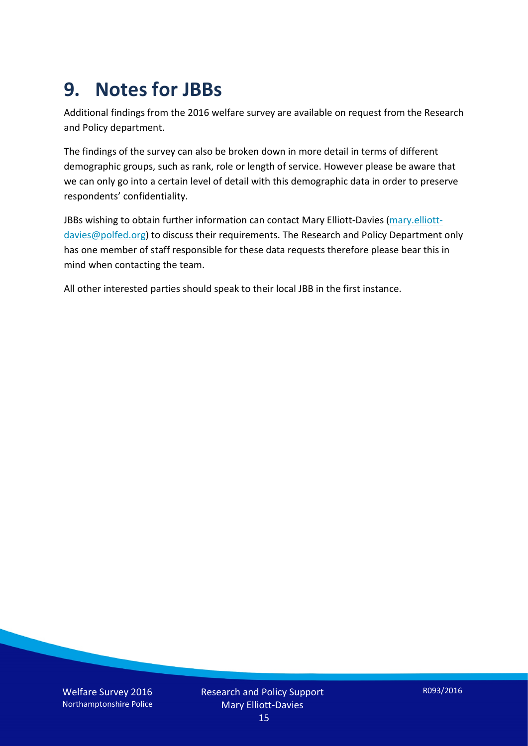## **9. Notes for JBBs**

Additional findings from the 2016 welfare survey are available on request from the Research and Policy department.

The findings of the survey can also be broken down in more detail in terms of different demographic groups, such as rank, role or length of service. However please be aware that we can only go into a certain level of detail with this demographic data in order to preserve respondents' confidentiality.

JBBs wishing to obtain further information can contact Mary Elliott-Davies [\(mary.elliott](mailto:mary.elliott-davies@polfed.org)[davies@polfed.org\)](mailto:mary.elliott-davies@polfed.org) to discuss their requirements. The Research and Policy Department only has one member of staff responsible for these data requests therefore please bear this in mind when contacting the team.

All other interested parties should speak to their local JBB in the first instance.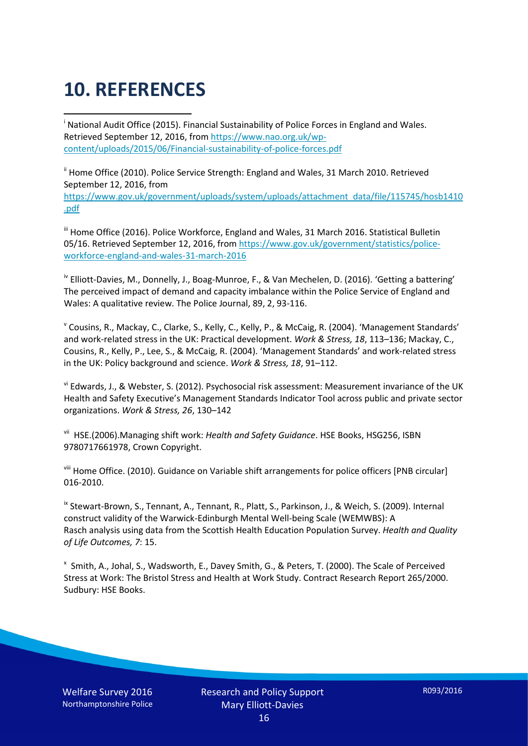# **10. REFERENCES**

<span id="page-15-0"></span>i National Audit Office (2015). Financial Sustainability of Police Forces in England and Wales. Retrieved September 12, 2016, fro[m https://www.nao.org.uk/wp](https://www.nao.org.uk/wp-content/uploads/2015/06/Financial-sustainability-of-police-forces.pdf)[content/uploads/2015/06/Financial-sustainability-of-police-forces.pdf](https://www.nao.org.uk/wp-content/uploads/2015/06/Financial-sustainability-of-police-forces.pdf)

<span id="page-15-1"></span><sup>ii</sup> Home Office (2010). Police Service Strength: England and Wales, 31 March 2010. Retrieved September 12, 2016, from [https://www.gov.uk/government/uploads/system/uploads/attachment\\_data/file/115745/hosb1410](https://www.gov.uk/government/uploads/system/uploads/attachment_data/file/115745/hosb1410.pdf) [.pdf](https://www.gov.uk/government/uploads/system/uploads/attachment_data/file/115745/hosb1410.pdf)

<span id="page-15-2"></span><sup>iii</sup> Home Office (2016). Police Workforce, England and Wales, 31 March 2016. Statistical Bulletin 05/16. Retrieved September 12, 2016, fro[m https://www.gov.uk/government/statistics/police](https://www.gov.uk/government/statistics/police-workforce-england-and-wales-31-march-2016)[workforce-england-and-wales-31-march-2016](https://www.gov.uk/government/statistics/police-workforce-england-and-wales-31-march-2016)

<span id="page-15-3"></span><sup>iv</sup> Elliott-Davies, M., Donnelly, J., Boag-Munroe, F., & Van Mechelen, D. (2016). 'Getting a battering' The perceived impact of demand and capacity imbalance within the Police Service of England and Wales: A qualitative review. The Police Journal, 89, 2, 93-116.

<span id="page-15-4"></span><sup>v</sup> Cousins, R., Mackay, C., Clarke, S., Kelly, C., Kelly, P., & McCaig, R. (2004). 'Management Standards' and work-related stress in the UK: Practical development. *Work & Stress, 18*, 113–136; Mackay, C., Cousins, R., Kelly, P., Lee, S., & McCaig, R. (2004). 'Management Standards' and work-related stress in the UK: Policy background and science. *Work & Stress, 18*, 91–112.

<span id="page-15-5"></span>vi Edwards, J., & Webster, S. (2012). Psychosocial risk assessment: Measurement invariance of the UK Health and Safety Executive's Management Standards Indicator Tool across public and private sector organizations. *Work & Stress, 26*, 130–142

<span id="page-15-6"></span>vii HSE.(2006).Managing shift work: *Health and Safety Guidance*. HSE Books, HSG256, ISBN 9780717661978, Crown Copyright.

<span id="page-15-7"></span>viii Home Office. (2010). Guidance on Variable shift arrangements for police officers [PNB circular] 016-2010.

<span id="page-15-8"></span><sup>ix</sup> Stewart-Brown, S., Tennant, A., Tennant, R., Platt, S., Parkinson, J., & Weich, S. (2009). Internal construct validity of the Warwick-Edinburgh Mental Well-being Scale (WEMWBS): A Rasch analysis using data from the Scottish Health Education Population Survey. *Health and Quality of Life Outcomes, 7*: 15.

<span id="page-15-9"></span>x Smith, A., Johal, S., Wadsworth, E., Davey Smith, G., & Peters, T. (2000). The Scale of Perceived Stress at Work: The Bristol Stress and Health at Work Study. Contract Research Report 265/2000. Sudbury: HSE Books.